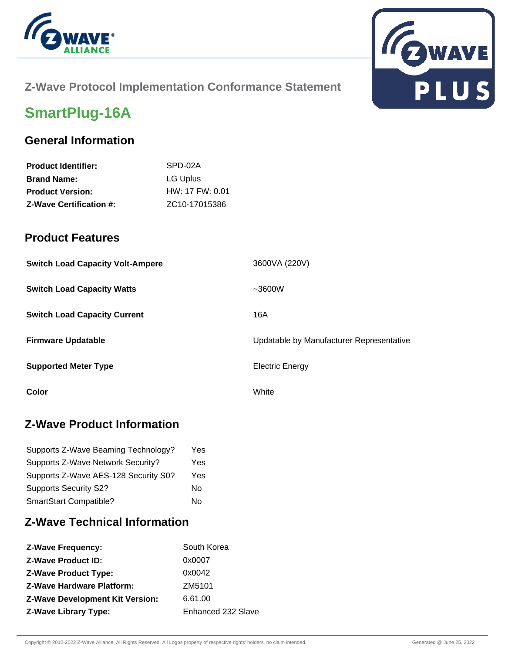



### **Z-Wave Protocol Implementation Conformance Statement**

# **SmartPlug-16A**

### **General Information**

| <b>Product Identifier:</b>     | SPD-02A                    |
|--------------------------------|----------------------------|
| <b>Brand Name:</b>             | LG Uplus                   |
| <b>Product Version:</b>        | $HW: 17$ FW: 0.01          |
| <b>Z-Wave Certification #:</b> | ZC <sub>10</sub> -17015386 |

#### **Product Features**

| <b>Switch Load Capacity Volt-Ampere</b> | 3600VA (220V)                            |
|-----------------------------------------|------------------------------------------|
| <b>Switch Load Capacity Watts</b>       | ~1000                                    |
| <b>Switch Load Capacity Current</b>     | 16A                                      |
| <b>Firmware Updatable</b>               | Updatable by Manufacturer Representative |
| <b>Supported Meter Type</b>             | <b>Electric Energy</b>                   |
| Color                                   | White                                    |

### **Z-Wave Product Information**

| Supports Z-Wave Beaming Technology?  | Yes. |
|--------------------------------------|------|
| Supports Z-Wave Network Security?    | Yes  |
| Supports Z-Wave AES-128 Security S0? | Yes  |
| <b>Supports Security S2?</b>         | No   |
| SmartStart Compatible?               | No   |

## **Z-Wave Technical Information**

| <b>Z-Wave Frequency:</b>               | South Korea        |
|----------------------------------------|--------------------|
| <b>Z-Wave Product ID:</b>              | 0x0007             |
| <b>Z-Wave Product Type:</b>            | 0x0042             |
| <b>Z-Wave Hardware Platform:</b>       | ZM5101             |
| <b>Z-Wave Development Kit Version:</b> | 6.61.00            |
| <b>Z-Wave Library Type:</b>            | Enhanced 232 Slave |
|                                        |                    |